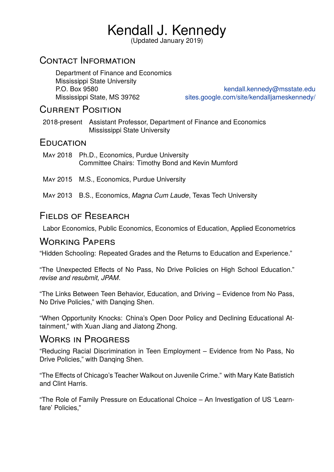# Kendall J. Kennedy

(Updated January 2019)

### Contact Information

Department of Finance and Economics Mississippi State University

P.O. Box 9580 kendall.kennedy@msstate.edu Mississippi State, MS 39762 sites.google.com/site/kendalljameskennedy/

# Current Position

2018-present Assistant Professor, Departmen[t of Finance and Economics](https://sites.google.com/site/kendalljameskennedy/) Mississippi State University

### **EDUCATION**

- May 2018 Ph.D., Economics, Purdue University Committee Chairs: Timothy Bond and Kevin Mumford
- May 2015 M.S., Economics, Purdue University
- May 2013 B.S., Economics, *Magna Cum Laude*, Texas Tech University

# Fields of Research

Labor Economics, Public Economics, Economics of Education, Applied Econometrics

# Working Papers

"Hidden Schooling: Repeated Grades and the Returns to Education and Experience."

"The Unexpected Effects of No Pass, No Drive Policies on High School Education." *revise and resubmit, JPAM*.

"The Links Between Teen Behavior, Education, and Driving – Evidence from No Pass, No Drive Policies," with Danqing Shen.

"When Opportunity Knocks: China's Open Door Policy and Declining Educational Attainment," with Xuan Jiang and Jiatong Zhong.

# Works in Progress

"Reducing Racial Discrimination in Teen Employment – Evidence from No Pass, No Drive Policies," with Danqing Shen.

"The Effects of Chicago's Teacher Walkout on Juvenile Crime." with Mary Kate Batistich and Clint Harris.

"The Role of Family Pressure on Educational Choice – An Investigation of US 'Learnfare' Policies,"